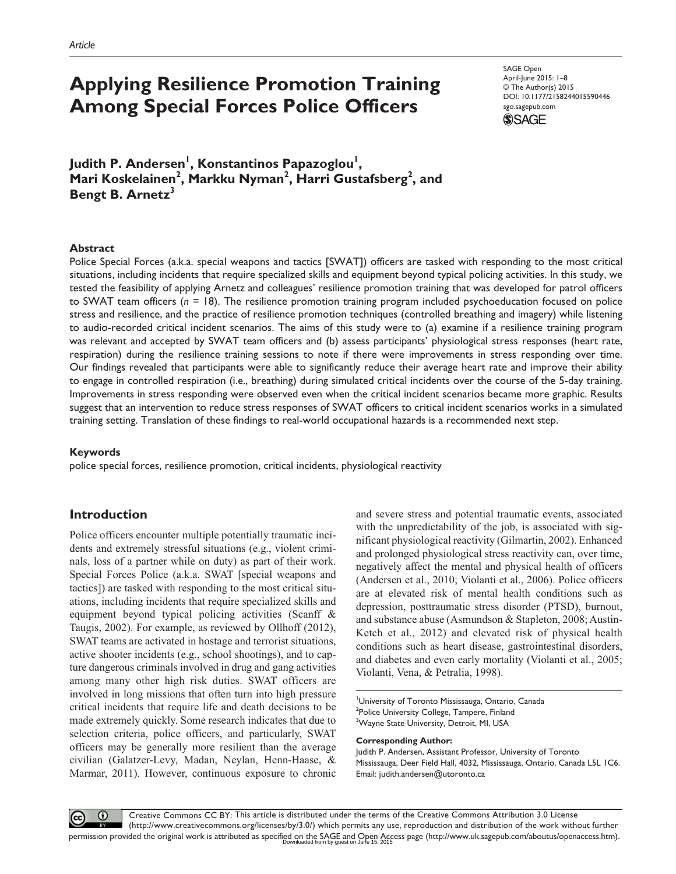# **Applying Resilience Promotion Training Among Special Forces Police Officers**

SAGE Open April-June 2015: 1–8 © The Author(s) 2015 DOI: 10.1177/2158244015590446 sgo.sagepub.com



**J**udith P. Andersen<sup>'</sup>, Konstantinos Papazoglou<sup>'</sup>,  $\mathbf{M}$ ari Koskelainen<sup>2</sup>, Markku Nyman<sup>2</sup>, Harri Gustafsberg<sup>2</sup>, and **Bengt B. Arnetz**<sup>3</sup>

## **Abstract**

Police Special Forces (a.k.a. special weapons and tactics [SWAT]) officers are tasked with responding to the most critical situations, including incidents that require specialized skills and equipment beyond typical policing activities. In this study, we tested the feasibility of applying Arnetz and colleagues' resilience promotion training that was developed for patrol officers to SWAT team officers (*n* = 18). The resilience promotion training program included psychoeducation focused on police stress and resilience, and the practice of resilience promotion techniques (controlled breathing and imagery) while listening to audio-recorded critical incident scenarios. The aims of this study were to (a) examine if a resilience training program was relevant and accepted by SWAT team officers and (b) assess participants' physiological stress responses (heart rate, respiration) during the resilience training sessions to note if there were improvements in stress responding over time. Our findings revealed that participants were able to significantly reduce their average heart rate and improve their ability to engage in controlled respiration (i.e., breathing) during simulated critical incidents over the course of the 5-day training. Improvements in stress responding were observed even when the critical incident scenarios became more graphic. Results suggest that an intervention to reduce stress responses of SWAT officers to critical incident scenarios works in a simulated training setting. Translation of these findings to real-world occupational hazards is a recommended next step.

## **Keywords**

police special forces, resilience promotion, critical incidents, physiological reactivity

# **Introduction**

Police officers encounter multiple potentially traumatic incidents and extremely stressful situations (e.g., violent criminals, loss of a partner while on duty) as part of their work. Special Forces Police (a.k.a. SWAT [special weapons and tactics]) are tasked with responding to the most critical situations, including incidents that require specialized skills and equipment beyond typical policing activities (Scanff & Taugis, 2002). For example, as reviewed by Ollhoff (2012), SWAT teams are activated in hostage and terrorist situations, active shooter incidents (e.g., school shootings), and to capture dangerous criminals involved in drug and gang activities among many other high risk duties. SWAT officers are involved in long missions that often turn into high pressure critical incidents that require life and death decisions to be made extremely quickly. Some research indicates that due to selection criteria, police officers, and particularly, SWAT officers may be generally more resilient than the average civilian (Galatzer-Levy, Madan, Neylan, Henn-Haase, & Marmar, 2011). However, continuous exposure to chronic and severe stress and potential traumatic events, associated with the unpredictability of the job, is associated with significant physiological reactivity (Gilmartin, 2002). Enhanced and prolonged physiological stress reactivity can, over time, negatively affect the mental and physical health of officers (Andersen et al., 2010; Violanti et al., 2006). Police officers are at elevated risk of mental health conditions such as depression, posttraumatic stress disorder (PTSD), burnout, and substance abuse (Asmundson & Stapleton, 2008; Austin-Ketch et al., 2012) and elevated risk of physical health conditions such as heart disease, gastrointestinal disorders, and diabetes and even early mortality (Violanti et al., 2005; Violanti, Vena, & Petralia, 1998).

<sup>1</sup>University of Toronto Mississauga, Ontario, Canada <sup>2</sup>Police University College, Tampere, Finland <sup>3</sup>Wayne State University, Detroit, MI, USA

#### **Corresponding Author:**

Judith P. Andersen, Assistant Professor, University of Toronto Mississauga, Deer Field Hall, 4032, Mississauga, Ontario, Canada L5L 1C6. Email: [judith.andersen@utoronto.ca](mailto:judith.andersen@utoronto.ca)

Creative Commons CC BY: This article is distributed under the terms of the Creative Commons Attribution 3.0 License  $\odot$ cc (http://www.creativecommons.org/licenses/by/3.0/) which permits any use, reproduction and distribution of the work without further permission provided the original work is attributed as specified on the SAGE and Open Access page (http://www.uk.sagepub.com/aboutus/openaccess.htm).<br>Downloaded from by guest on June 15, 2015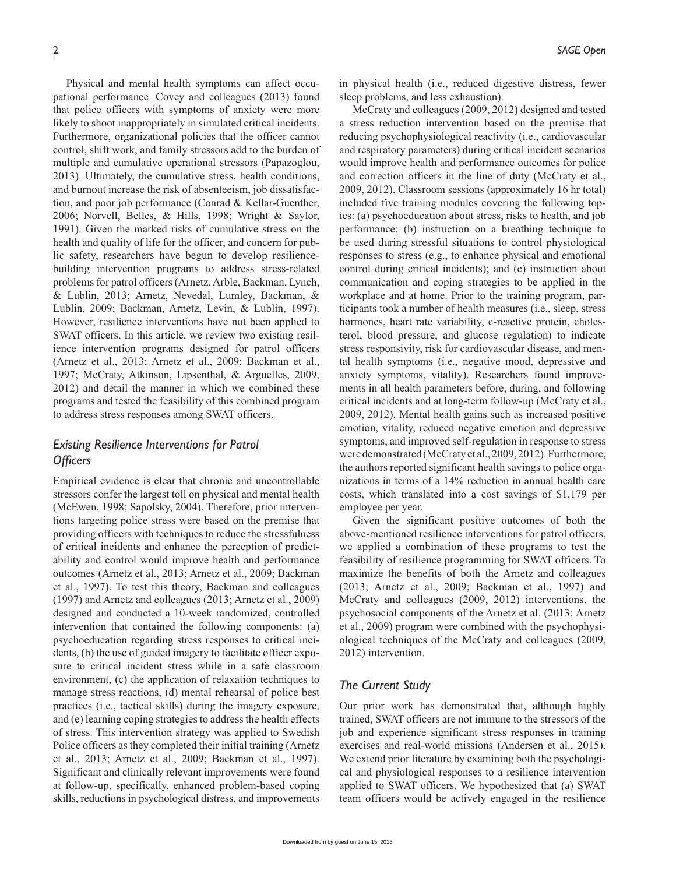Physical and mental health symptoms can affect occupational performance. Covey and colleagues (2013) found that police officers with symptoms of anxiety were more likely to shoot inappropriately in simulated critical incidents. Furthermore, organizational policies that the officer cannot control, shift work, and family stressors add to the burden of multiple and cumulative operational stressors (Papazoglou, 2013). Ultimately, the cumulative stress, health conditions, and burnout increase the risk of absenteeism, job dissatisfaction, and poor job performance (Conrad & Kellar-Guenther, 2006; Norvell, Belles, & Hills, 1998; Wright & Saylor, 1991). Given the marked risks of cumulative stress on the health and quality of life for the officer, and concern for public safety, researchers have begun to develop resiliencebuilding intervention programs to address stress-related problems for patrol officers (Arnetz, Arble, Backman, Lynch, & Lublin, 2013; Arnetz, Nevedal, Lumley, Backman, & Lublin, 2009; Backman, Arnetz, Levin, & Lublin, 1997). However, resilience interventions have not been applied to SWAT officers. In this article, we review two existing resilience intervention programs designed for patrol officers (Arnetz et al., 2013; Arnetz et al., 2009; Backman et al., 1997; McCraty, Atkinson, Lipsenthal, & Arguelles, 2009, 2012) and detail the manner in which we combined these programs and tested the feasibility of this combined program to address stress responses among SWAT officers.

## *Existing Resilience Interventions for Patrol Officers*

Empirical evidence is clear that chronic and uncontrollable stressors confer the largest toll on physical and mental health (McEwen, 1998; Sapolsky, 2004). Therefore, prior interventions targeting police stress were based on the premise that providing officers with techniques to reduce the stressfulness of critical incidents and enhance the perception of predictability and control would improve health and performance outcomes (Arnetz et al., 2013; Arnetz et al., 2009; Backman et al., 1997). To test this theory, Backman and colleagues (1997) and Arnetz and colleagues (2013; Arnetz et al., 2009) designed and conducted a 10-week randomized, controlled intervention that contained the following components: (a) psychoeducation regarding stress responses to critical incidents, (b) the use of guided imagery to facilitate officer exposure to critical incident stress while in a safe classroom environment, (c) the application of relaxation techniques to manage stress reactions, (d) mental rehearsal of police best practices (i.e., tactical skills) during the imagery exposure, and (e) learning coping strategies to address the health effects of stress. This intervention strategy was applied to Swedish Police officers as they completed their initial training (Arnetz et al., 2013; Arnetz et al., 2009; Backman et al., 1997). Significant and clinically relevant improvements were found at follow-up, specifically, enhanced problem-based coping skills, reductions in psychological distress, and improvements

in physical health (i.e., reduced digestive distress, fewer sleep problems, and less exhaustion).

McCraty and colleagues (2009, 2012) designed and tested a stress reduction intervention based on the premise that reducing psychophysiological reactivity (i.e., cardiovascular and respiratory parameters) during critical incident scenarios would improve health and performance outcomes for police and correction officers in the line of duty (McCraty et al., 2009, 2012). Classroom sessions (approximately 16 hr total) included five training modules covering the following topics: (a) psychoeducation about stress, risks to health, and job performance; (b) instruction on a breathing technique to be used during stressful situations to control physiological responses to stress (e.g., to enhance physical and emotional control during critical incidents); and (c) instruction about communication and coping strategies to be applied in the workplace and at home. Prior to the training program, participants took a number of health measures (i.e., sleep, stress hormones, heart rate variability, c-reactive protein, cholesterol, blood pressure, and glucose regulation) to indicate stress responsivity, risk for cardiovascular disease, and mental health symptoms (i.e., negative mood, depressive and anxiety symptoms, vitality). Researchers found improvements in all health parameters before, during, and following critical incidents and at long-term follow-up (McCraty et al., 2009, 2012). Mental health gains such as increased positive emotion, vitality, reduced negative emotion and depressive symptoms, and improved self-regulation in response to stress were demonstrated (McCraty et al., 2009, 2012). Furthermore, the authors reported significant health savings to police organizations in terms of a 14% reduction in annual health care costs, which translated into a cost savings of \$1,179 per employee per year.

Given the significant positive outcomes of both the above-mentioned resilience interventions for patrol officers, we applied a combination of these programs to test the feasibility of resilience programming for SWAT officers. To maximize the benefits of both the Arnetz and colleagues (2013; Arnetz et al., 2009; Backman et al., 1997) and McCraty and colleagues (2009, 2012) interventions, the psychosocial components of the Arnetz et al. (2013; Arnetz et al., 2009) program were combined with the psychophysiological techniques of the McCraty and colleagues (2009, 2012) intervention.

## *The Current Study*

Our prior work has demonstrated that, although highly trained, SWAT officers are not immune to the stressors of the job and experience significant stress responses in training exercises and real-world missions (Andersen et al., 2015). We extend prior literature by examining both the psychological and physiological responses to a resilience intervention applied to SWAT officers. We hypothesized that (a) SWAT team officers would be actively engaged in the resilience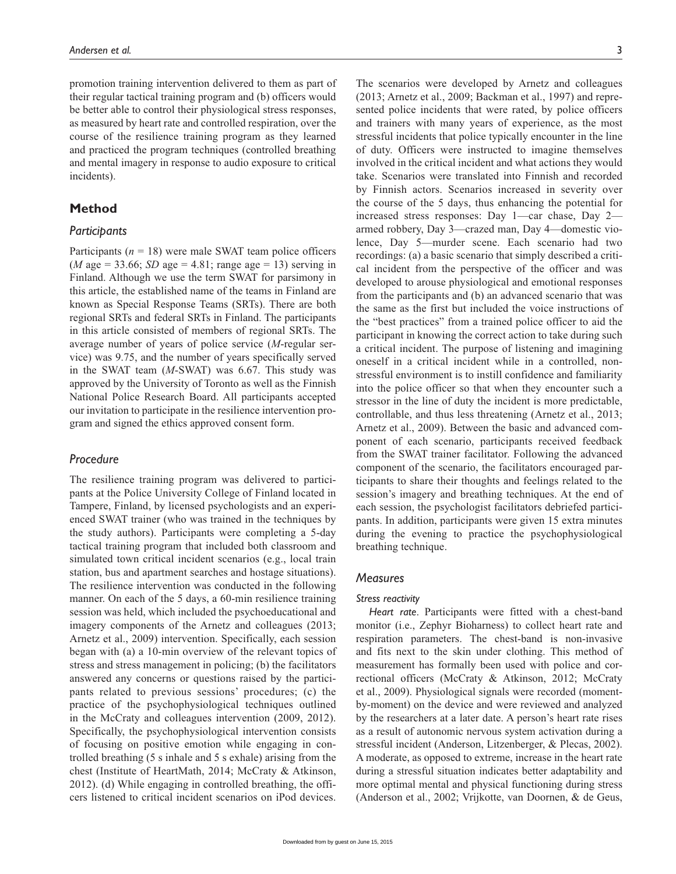promotion training intervention delivered to them as part of their regular tactical training program and (b) officers would be better able to control their physiological stress responses, as measured by heart rate and controlled respiration, over the course of the resilience training program as they learned and practiced the program techniques (controlled breathing and mental imagery in response to audio exposure to critical incidents).

## **Method**

## *Participants*

Participants  $(n = 18)$  were male SWAT team police officers  $(M \text{ age} = 33.66; SD \text{ age} = 4.81; \text{ range age} = 13)$  serving in Finland. Although we use the term SWAT for parsimony in this article, the established name of the teams in Finland are known as Special Response Teams (SRTs). There are both regional SRTs and federal SRTs in Finland. The participants in this article consisted of members of regional SRTs. The average number of years of police service (*M*-regular service) was 9.75, and the number of years specifically served in the SWAT team (*M*-SWAT) was 6.67. This study was approved by the University of Toronto as well as the Finnish National Police Research Board. All participants accepted our invitation to participate in the resilience intervention program and signed the ethics approved consent form.

## *Procedure*

The resilience training program was delivered to participants at the Police University College of Finland located in Tampere, Finland, by licensed psychologists and an experienced SWAT trainer (who was trained in the techniques by the study authors). Participants were completing a 5-day tactical training program that included both classroom and simulated town critical incident scenarios (e.g., local train station, bus and apartment searches and hostage situations). The resilience intervention was conducted in the following manner. On each of the 5 days, a 60-min resilience training session was held, which included the psychoeducational and imagery components of the Arnetz and colleagues (2013; Arnetz et al., 2009) intervention. Specifically, each session began with (a) a 10-min overview of the relevant topics of stress and stress management in policing; (b) the facilitators answered any concerns or questions raised by the participants related to previous sessions' procedures; (c) the practice of the psychophysiological techniques outlined in the McCraty and colleagues intervention (2009, 2012). Specifically, the psychophysiological intervention consists of focusing on positive emotion while engaging in controlled breathing (5 s inhale and 5 s exhale) arising from the chest (Institute of HeartMath, 2014; McCraty & Atkinson, 2012). (d) While engaging in controlled breathing, the officers listened to critical incident scenarios on iPod devices.

The scenarios were developed by Arnetz and colleagues (2013; Arnetz et al., 2009; Backman et al., 1997) and represented police incidents that were rated, by police officers and trainers with many years of experience, as the most stressful incidents that police typically encounter in the line of duty. Officers were instructed to imagine themselves involved in the critical incident and what actions they would take. Scenarios were translated into Finnish and recorded by Finnish actors. Scenarios increased in severity over the course of the 5 days, thus enhancing the potential for increased stress responses: Day 1—car chase, Day 2 armed robbery, Day 3—crazed man, Day 4—domestic violence, Day 5—murder scene. Each scenario had two recordings: (a) a basic scenario that simply described a critical incident from the perspective of the officer and was developed to arouse physiological and emotional responses from the participants and (b) an advanced scenario that was the same as the first but included the voice instructions of the "best practices" from a trained police officer to aid the participant in knowing the correct action to take during such a critical incident. The purpose of listening and imagining oneself in a critical incident while in a controlled, nonstressful environment is to instill confidence and familiarity into the police officer so that when they encounter such a stressor in the line of duty the incident is more predictable, controllable, and thus less threatening (Arnetz et al., 2013; Arnetz et al., 2009). Between the basic and advanced component of each scenario, participants received feedback from the SWAT trainer facilitator. Following the advanced component of the scenario, the facilitators encouraged participants to share their thoughts and feelings related to the session's imagery and breathing techniques. At the end of each session, the psychologist facilitators debriefed participants. In addition, participants were given 15 extra minutes during the evening to practice the psychophysiological breathing technique.

#### *Measures*

#### *Stress reactivity*

*Heart rate*. Participants were fitted with a chest-band monitor (i.e., Zephyr Bioharness) to collect heart rate and respiration parameters. The chest-band is non-invasive and fits next to the skin under clothing. This method of measurement has formally been used with police and correctional officers (McCraty & Atkinson, 2012; McCraty et al., 2009). Physiological signals were recorded (momentby-moment) on the device and were reviewed and analyzed by the researchers at a later date. A person's heart rate rises as a result of autonomic nervous system activation during a stressful incident (Anderson, Litzenberger, & Plecas, 2002). A moderate, as opposed to extreme, increase in the heart rate during a stressful situation indicates better adaptability and more optimal mental and physical functioning during stress (Anderson et al., 2002; Vrijkotte, van Doornen, & de Geus,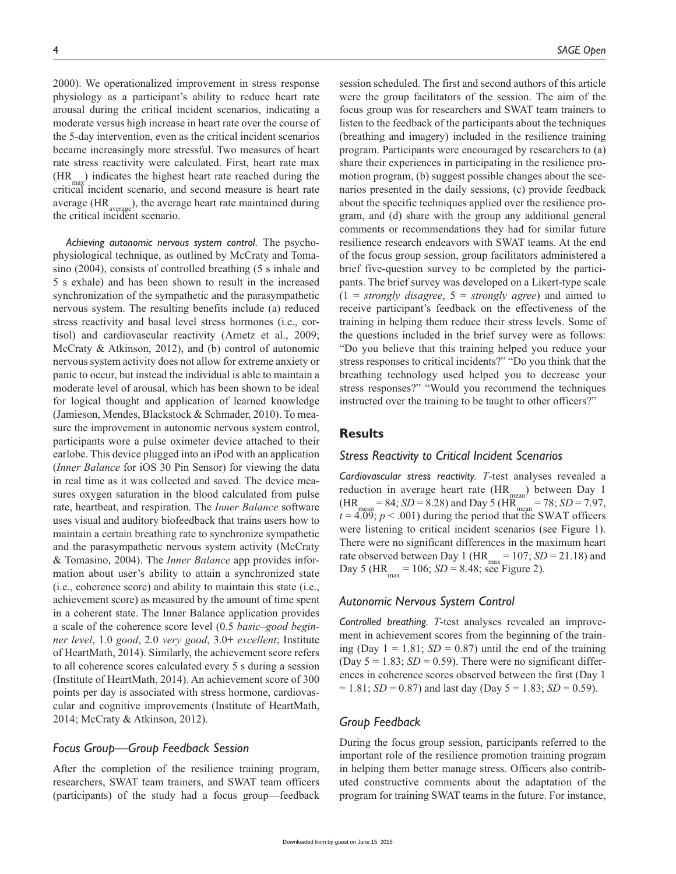2000). We operationalized improvement in stress response physiology as a participant's ability to reduce heart rate arousal during the critical incident scenarios, indicating a moderate versus high increase in heart rate over the course of the 5-day intervention, even as the critical incident scenarios became increasingly more stressful. Two measures of heart rate stress reactivity were calculated. First, heart rate max  $(HR_{\text{max}})$  indicates the highest heart rate reached during the critical incident scenario, and second measure is heart rate average ( $HR_{average}$ ), the average heart rate maintained during the critical incident scenario.

*Achieving autonomic nervous system control*. The psychophysiological technique, as outlined by McCraty and Tomasino (2004), consists of controlled breathing (5 s inhale and 5 s exhale) and has been shown to result in the increased synchronization of the sympathetic and the parasympathetic nervous system. The resulting benefits include (a) reduced stress reactivity and basal level stress hormones (i.e., cortisol) and cardiovascular reactivity (Arnetz et al., 2009; McCraty & Atkinson, 2012), and (b) control of autonomic nervous system activity does not allow for extreme anxiety or panic to occur, but instead the individual is able to maintain a moderate level of arousal, which has been shown to be ideal for logical thought and application of learned knowledge (Jamieson, Mendes, Blackstock & Schmader, 2010). To measure the improvement in autonomic nervous system control, participants wore a pulse oximeter device attached to their earlobe. This device plugged into an iPod with an application (*Inner Balance* for iOS 30 Pin Sensor) for viewing the data in real time as it was collected and saved. The device measures oxygen saturation in the blood calculated from pulse rate, heartbeat, and respiration. The *Inner Balance* software uses visual and auditory biofeedback that trains users how to maintain a certain breathing rate to synchronize sympathetic and the parasympathetic nervous system activity (McCraty & Tomasino, 2004). The *Inner Balance* app provides information about user's ability to attain a synchronized state (i.e., coherence score) and ability to maintain this state (i.e., achievement score) as measured by the amount of time spent in a coherent state. The Inner Balance application provides a scale of the coherence score level (0.5 *basic–good beginner level*, 1.0 *good*, 2.0 *very good*, 3.0+ *excellent*; Institute of HeartMath, 2014). Similarly, the achievement score refers to all coherence scores calculated every 5 s during a session (Institute of HeartMath, 2014). An achievement score of 300 points per day is associated with stress hormone, cardiovascular and cognitive improvements (Institute of HeartMath, 2014; McCraty & Atkinson, 2012).

#### *Focus Group—Group Feedback Session*

After the completion of the resilience training program, researchers, SWAT team trainers, and SWAT team officers (participants) of the study had a focus group—feedback

session scheduled. The first and second authors of this article were the group facilitators of the session. The aim of the focus group was for researchers and SWAT team trainers to listen to the feedback of the participants about the techniques (breathing and imagery) included in the resilience training program. Participants were encouraged by researchers to (a) share their experiences in participating in the resilience promotion program, (b) suggest possible changes about the scenarios presented in the daily sessions, (c) provide feedback about the specific techniques applied over the resilience program, and (d) share with the group any additional general comments or recommendations they had for similar future resilience research endeavors with SWAT teams. At the end of the focus group session, group facilitators administered a brief five-question survey to be completed by the participants. The brief survey was developed on a Likert-type scale (1 = *strongly disagree*, 5 = *strongly agree*) and aimed to receive participant's feedback on the effectiveness of the training in helping them reduce their stress levels. Some of the questions included in the brief survey were as follows: "Do you believe that this training helped you reduce your stress responses to critical incidents?" "Do you think that the breathing technology used helped you to decrease your stress responses?" "Would you recommend the techniques instructed over the training to be taught to other officers?"

## **Results**

### *Stress Reactivity to Critical Incident Scenarios*

*Cardiovascular stress reactivity. T*-test analyses revealed a reduction in average heart rate  $(HR_{mean})$  between Day 1  $(HR_{\text{mean}} = 84; SD = 8.28)$  and Day 5 ( $H\overline{R}_{\text{mean}}^{\text{mean}} = 78; SD = 7.97$ ,  $t = 4.09$ ;  $p < .001$ ) during the period that the SWAT officers were listening to critical incident scenarios (see Figure 1). There were no significant differences in the maximum heart rate observed between Day 1 (HR<sub>max</sub> = 107; *SD* = 21.18) and Day 5 (HR<sub>max</sub> = 106; *SD* = 8.48; see Figure 2).

#### *Autonomic Nervous System Control*

*Controlled breathing. T*-test analyses revealed an improvement in achievement scores from the beginning of the training (Day  $1 = 1.81$ ;  $SD = 0.87$ ) until the end of the training (Day  $5 = 1.83$ ;  $SD = 0.59$ ). There were no significant differences in coherence scores observed between the first (Day 1  $= 1.81$ ; *SD* = 0.87) and last day (Day 5 = 1.83; *SD* = 0.59).

## *Group Feedback*

During the focus group session, participants referred to the important role of the resilience promotion training program in helping them better manage stress. Officers also contributed constructive comments about the adaptation of the program for training SWAT teams in the future. For instance,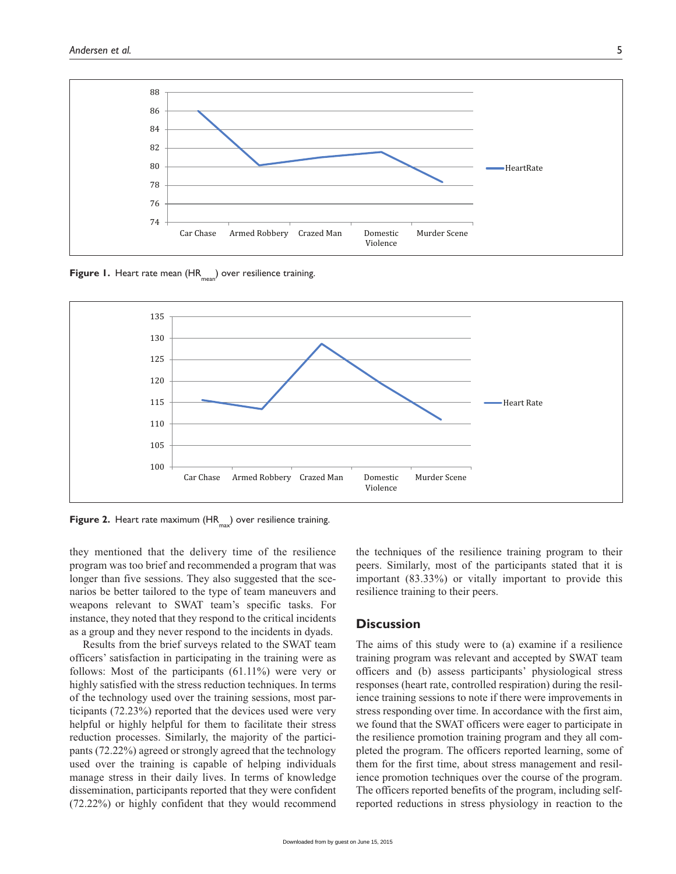

**Figure 1.** Heart rate mean (HR<sub>mean</sub>) over resilience training.



**Figure 2.** Heart rate maximum (HR<sub>max</sub>) over resilience training.

they mentioned that the delivery time of the resilience program was too brief and recommended a program that was longer than five sessions. They also suggested that the scenarios be better tailored to the type of team maneuvers and weapons relevant to SWAT team's specific tasks. For instance, they noted that they respond to the critical incidents as a group and they never respond to the incidents in dyads.

Results from the brief surveys related to the SWAT team officers' satisfaction in participating in the training were as follows: Most of the participants (61.11%) were very or highly satisfied with the stress reduction techniques. In terms of the technology used over the training sessions, most participants (72.23%) reported that the devices used were very helpful or highly helpful for them to facilitate their stress reduction processes. Similarly, the majority of the participants (72.22%) agreed or strongly agreed that the technology used over the training is capable of helping individuals manage stress in their daily lives. In terms of knowledge dissemination, participants reported that they were confident (72.22%) or highly confident that they would recommend

the techniques of the resilience training program to their peers. Similarly, most of the participants stated that it is important (83.33%) or vitally important to provide this resilience training to their peers.

## **Discussion**

The aims of this study were to (a) examine if a resilience training program was relevant and accepted by SWAT team officers and (b) assess participants' physiological stress responses (heart rate, controlled respiration) during the resilience training sessions to note if there were improvements in stress responding over time. In accordance with the first aim, we found that the SWAT officers were eager to participate in the resilience promotion training program and they all completed the program. The officers reported learning, some of them for the first time, about stress management and resilience promotion techniques over the course of the program. The officers reported benefits of the program, including selfreported reductions in stress physiology in reaction to the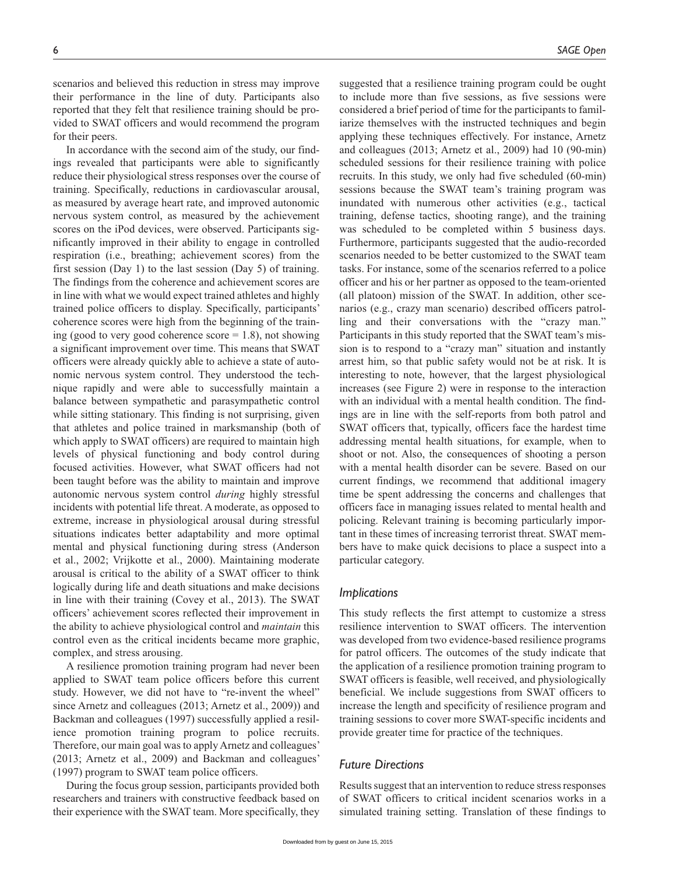scenarios and believed this reduction in stress may improve their performance in the line of duty. Participants also reported that they felt that resilience training should be provided to SWAT officers and would recommend the program for their peers.

In accordance with the second aim of the study, our findings revealed that participants were able to significantly reduce their physiological stress responses over the course of training. Specifically, reductions in cardiovascular arousal, as measured by average heart rate, and improved autonomic nervous system control, as measured by the achievement scores on the iPod devices, were observed. Participants significantly improved in their ability to engage in controlled respiration (i.e., breathing; achievement scores) from the first session (Day 1) to the last session (Day 5) of training. The findings from the coherence and achievement scores are in line with what we would expect trained athletes and highly trained police officers to display. Specifically, participants' coherence scores were high from the beginning of the training (good to very good coherence score  $= 1.8$ ), not showing a significant improvement over time. This means that SWAT officers were already quickly able to achieve a state of autonomic nervous system control. They understood the technique rapidly and were able to successfully maintain a balance between sympathetic and parasympathetic control while sitting stationary. This finding is not surprising, given that athletes and police trained in marksmanship (both of which apply to SWAT officers) are required to maintain high levels of physical functioning and body control during focused activities. However, what SWAT officers had not been taught before was the ability to maintain and improve autonomic nervous system control *during* highly stressful incidents with potential life threat. A moderate, as opposed to extreme, increase in physiological arousal during stressful situations indicates better adaptability and more optimal mental and physical functioning during stress (Anderson et al., 2002; Vrijkotte et al., 2000). Maintaining moderate arousal is critical to the ability of a SWAT officer to think logically during life and death situations and make decisions in line with their training (Covey et al., 2013). The SWAT officers' achievement scores reflected their improvement in the ability to achieve physiological control and *maintain* this control even as the critical incidents became more graphic, complex, and stress arousing.

A resilience promotion training program had never been applied to SWAT team police officers before this current study. However, we did not have to "re-invent the wheel" since Arnetz and colleagues (2013; Arnetz et al., 2009)) and Backman and colleagues (1997) successfully applied a resilience promotion training program to police recruits. Therefore, our main goal was to apply Arnetz and colleagues' (2013; Arnetz et al., 2009) and Backman and colleagues' (1997) program to SWAT team police officers.

During the focus group session, participants provided both researchers and trainers with constructive feedback based on their experience with the SWAT team. More specifically, they

suggested that a resilience training program could be ought to include more than five sessions, as five sessions were considered a brief period of time for the participants to familiarize themselves with the instructed techniques and begin applying these techniques effectively. For instance, Arnetz and colleagues (2013; Arnetz et al., 2009) had 10 (90-min) scheduled sessions for their resilience training with police recruits. In this study, we only had five scheduled (60-min) sessions because the SWAT team's training program was inundated with numerous other activities (e.g., tactical training, defense tactics, shooting range), and the training was scheduled to be completed within 5 business days. Furthermore, participants suggested that the audio-recorded scenarios needed to be better customized to the SWAT team tasks. For instance, some of the scenarios referred to a police officer and his or her partner as opposed to the team-oriented (all platoon) mission of the SWAT. In addition, other scenarios (e.g., crazy man scenario) described officers patrolling and their conversations with the "crazy man." Participants in this study reported that the SWAT team's mission is to respond to a "crazy man" situation and instantly arrest him, so that public safety would not be at risk. It is interesting to note, however, that the largest physiological increases (see Figure 2) were in response to the interaction with an individual with a mental health condition. The findings are in line with the self-reports from both patrol and SWAT officers that, typically, officers face the hardest time addressing mental health situations, for example, when to shoot or not. Also, the consequences of shooting a person with a mental health disorder can be severe. Based on our current findings, we recommend that additional imagery time be spent addressing the concerns and challenges that officers face in managing issues related to mental health and policing. Relevant training is becoming particularly important in these times of increasing terrorist threat. SWAT members have to make quick decisions to place a suspect into a particular category.

#### *Implications*

This study reflects the first attempt to customize a stress resilience intervention to SWAT officers. The intervention was developed from two evidence-based resilience programs for patrol officers. The outcomes of the study indicate that the application of a resilience promotion training program to SWAT officers is feasible, well received, and physiologically beneficial. We include suggestions from SWAT officers to increase the length and specificity of resilience program and training sessions to cover more SWAT-specific incidents and provide greater time for practice of the techniques.

## *Future Directions*

Results suggest that an intervention to reduce stress responses of SWAT officers to critical incident scenarios works in a simulated training setting. Translation of these findings to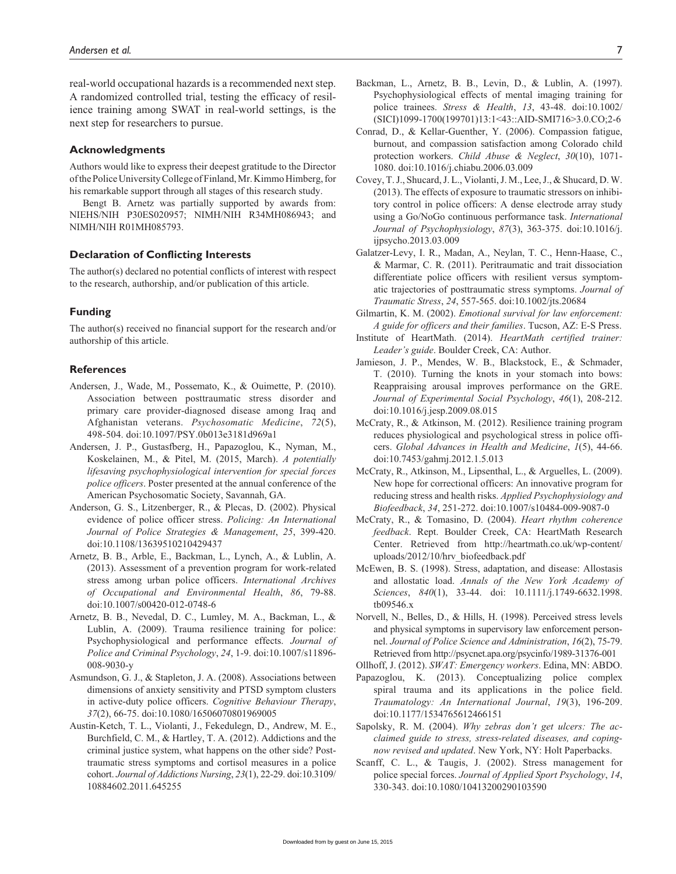real-world occupational hazards is a recommended next step. A randomized controlled trial, testing the efficacy of resilience training among SWAT in real-world settings, is the next step for researchers to pursue.

#### **Acknowledgments**

Authors would like to express their deepest gratitude to the Director of the Police University College of Finland, Mr. Kimmo Himberg, for his remarkable support through all stages of this research study.

Bengt B. Arnetz was partially supported by awards from: NIEHS/NIH P30ES020957; NIMH/NIH R34MH086943; and NIMH/NIH R01MH085793.

### **Declaration of Conflicting Interests**

The author(s) declared no potential conflicts of interest with respect to the research, authorship, and/or publication of this article.

#### **Funding**

The author(s) received no financial support for the research and/or authorship of this article.

#### **References**

- Andersen, J., Wade, M., Possemato, K., & Ouimette, P. (2010). Association between posttraumatic stress disorder and primary care provider-diagnosed disease among Iraq and Afghanistan veterans. *Psychosomatic Medicine*, *72*(5), 498-504. doi:10.1097/PSY.0b013e3181d969a1
- Andersen, J. P., Gustasfberg, H., Papazoglou, K., Nyman, M., Koskelainen, M., & Pitel, M. (2015, March). *A potentially lifesaving psychophysiological intervention for special forces police officers*. Poster presented at the annual conference of the American Psychosomatic Society, Savannah, GA.
- Anderson, G. S., Litzenberger, R., & Plecas, D. (2002). Physical evidence of police officer stress. *Policing: An International Journal of Police Strategies & Management*, *25*, 399-420. doi:10.1108/13639510210429437
- Arnetz, B. B., Arble, E., Backman, L., Lynch, A., & Lublin, A. (2013). Assessment of a prevention program for work-related stress among urban police officers. *International Archives of Occupational and Environmental Health*, *86*, 79-88. doi:10.1007/s00420-012-0748-6
- Arnetz, B. B., Nevedal, D. C., Lumley, M. A., Backman, L., & Lublin, A. (2009). Trauma resilience training for police: Psychophysiological and performance effects. *Journal of Police and Criminal Psychology*, *24*, 1-9. doi:10.1007/s11896- 008-9030-y
- Asmundson, G. J., & Stapleton, J. A. (2008). Associations between dimensions of anxiety sensitivity and PTSD symptom clusters in active-duty police officers. *Cognitive Behaviour Therapy*, *37*(2), 66-75. doi:10.1080/16506070801969005
- Austin-Ketch, T. L., Violanti, J., Fekedulegn, D., Andrew, M. E., Burchfield, C. M., & Hartley, T. A. (2012). Addictions and the criminal justice system, what happens on the other side? Posttraumatic stress symptoms and cortisol measures in a police cohort. *Journal of Addictions Nursing*, *23*(1), 22-29. doi:10.3109/ 10884602.2011.645255
- Backman, L., Arnetz, B. B., Levin, D., & Lublin, A. (1997). Psychophysiological effects of mental imaging training for police trainees. *Stress & Health*, *13*, 43-48. doi:10.1002/ (SICI)1099-1700(199701)13:1<43::AID-SMI716>3.0.CO;2-6
- Conrad, D., & Kellar-Guenther, Y. (2006). Compassion fatigue, burnout, and compassion satisfaction among Colorado child protection workers. *Child Abuse & Neglect*, *30*(10), 1071- 1080. doi:10.1016/j.chiabu.2006.03.009
- Covey, T. J., Shucard, J. L., Violanti, J. M., Lee, J., & Shucard, D. W. (2013). The effects of exposure to traumatic stressors on inhibitory control in police officers: A dense electrode array study using a Go/NoGo continuous performance task. *International Journal of Psychophysiology*, *87*(3), 363-375. doi:10.1016/j. ijpsycho.2013.03.009
- Galatzer-Levy, I. R., Madan, A., Neylan, T. C., Henn-Haase, C., & Marmar, C. R. (2011). Peritraumatic and trait dissociation differentiate police officers with resilient versus symptomatic trajectories of posttraumatic stress symptoms. *Journal of Traumatic Stress*, *24*, 557-565. doi:10.1002/jts.20684
- Gilmartin, K. M. (2002). *Emotional survival for law enforcement: A guide for officers and their families*. Tucson, AZ: E-S Press.
- Institute of HeartMath. (2014). *HeartMath certified trainer: Leader's guide*. Boulder Creek, CA: Author.
- Jamieson, J. P., Mendes, W. B., Blackstock, E., & Schmader, T. (2010). Turning the knots in your stomach into bows: Reappraising arousal improves performance on the GRE. *Journal of Experimental Social Psychology*, *46*(1), 208-212. doi:10.1016/j.jesp.2009.08.015
- McCraty, R., & Atkinson, M. (2012). Resilience training program reduces physiological and psychological stress in police officers. *Global Advances in Health and Medicine*, *1*(5), 44-66. doi:10.7453/gahmj.2012.1.5.013
- McCraty, R., Atkinson, M., Lipsenthal, L., & Arguelles, L. (2009). New hope for correctional officers: An innovative program for reducing stress and health risks. *Applied Psychophysiology and Biofeedback*, *34*, 251-272. doi:10.1007/s10484-009-9087-0
- McCraty, R., & Tomasino, D. (2004). *Heart rhythm coherence feedback*. Rept. Boulder Creek, CA: HeartMath Research Center. Retrieved from [http://heartmath.co.uk/wp-content/](http://heartmath.co.uk/wp-content/uploads/2012/10/hrv_biofeedback.pdf) [uploads/2012/10/hrv\\_biofeedback.pdf](http://heartmath.co.uk/wp-content/uploads/2012/10/hrv_biofeedback.pdf)
- McEwen, B. S. (1998). Stress, adaptation, and disease: Allostasis and allostatic load. *Annals of the New York Academy of Sciences*, *840*(1), 33-44. doi: 10.1111/j.1749-6632.1998. tb09546.x
- Norvell, N., Belles, D., & Hills, H. (1998). Perceived stress levels and physical symptoms in supervisory law enforcement personnel. *Journal of Police Science and Administration*, *16*(2), 75-79. Retrieved from <http://psycnet.apa.org/psycinfo/1989-31376-001>

Ollhoff, J. (2012). *SWAT: Emergency workers*. Edina, MN: ABDO.

- Papazoglou, K. (2013). Conceptualizing police complex spiral trauma and its applications in the police field. *Traumatology: An International Journal*, *19*(3), 196-209. doi:10.1177/1534765612466151
- Sapolsky, R. M. (2004). *Why zebras don't get ulcers: The acclaimed guide to stress, stress-related diseases, and copingnow revised and updated*. New York, NY: Holt Paperbacks.
- Scanff, C. L., & Taugis, J. (2002). Stress management for police special forces. *Journal of Applied Sport Psychology*, *14*, 330-343. doi:10.1080/10413200290103590